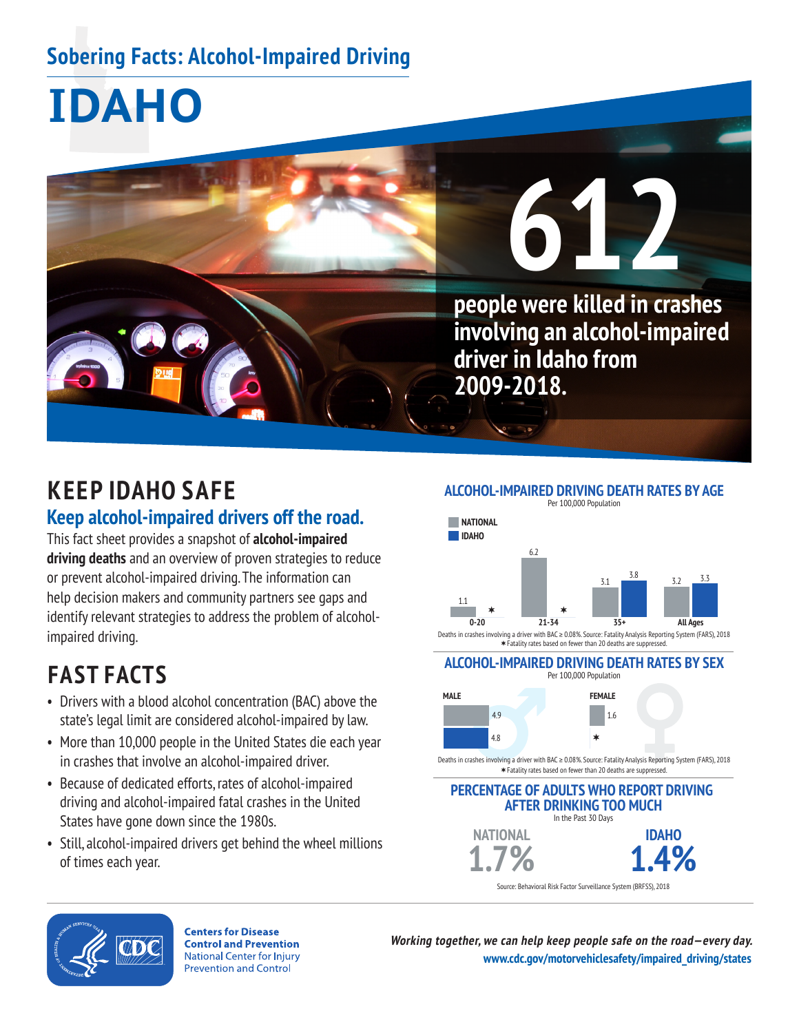## **Sobering Facts: Alcohol-Impaired Driving**

# **IDAHO**



## **KEEP IDAHO SAFE Keep alcohol-impaired drivers off the road.**

This fact sheet provides a snapshot of **alcohol-impaired driving deaths** and an overview of proven strategies to reduce or prevent alcohol-impaired driving. The information can help decision makers and community partners see gaps and identify relevant strategies to address the problem of alcoholimpaired driving.

## **FAST FACTS**

- Drivers with a blood alcohol concentration (BAC) above the state's legal limit are considered alcohol-impaired by law.
- More than 10,000 people in the United States die each year in crashes that involve an alcohol-impaired driver.
- Because of dedicated efforts, rates of alcohol-impaired driving and alcohol-impaired fatal crashes in the United States have gone down since the 1980s.
- Still, alcohol-impaired drivers get behind the wheel millions of times each year.

**ALCOHOL-IMPAIRED DRIVING DEATH RATES BY AGE**



Deaths in crashes involving a driver with BAC ≥ 0.08%. Source: Fatality Analysis Reporting System (FARS), 2018 Fatality rates based on fewer than 20 deaths are suppressed.

#### **ALCOHOL-IMPAIRED DRIVING DEATH RATES BY SEX**  Per 100,000 Population



Deaths in crashes involving a driver with BAC ≥ 0.08%. Source: Fatality Analysis Reporting System (FARS), 2018 Fatality rates based on fewer than 20 deaths are suppressed.

#### **PERCENTAGE OF ADULTS WHO REPORT DRIVING AFTER DRINKING TOO MUCH** In the Past 30 Days **NATIONAL IDAHO**

Source: Behavioral Risk Factor Surveillance System (BRFSS), 2018



**Centers for Disease Control and Prevention National Center for Injury Prevention and Control** 

**Working together, we can help keep people safe on the road—every day. [www.cdc.gov/motorvehiclesafety/impaired\\_driving/states](https://www.cdc.gov/motorvehiclesafety/impaired_driving/states.html)**